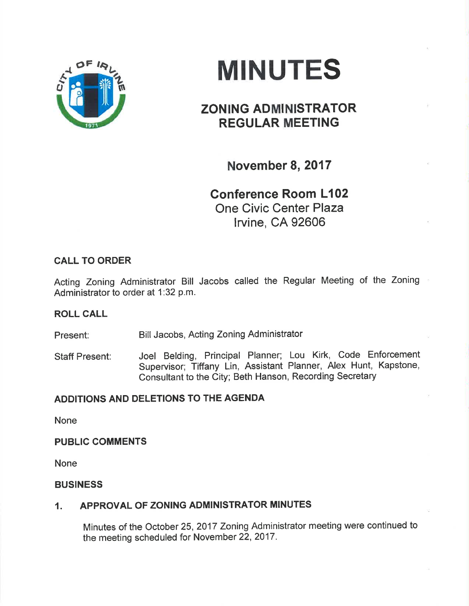

# MINUTES

## ZONING ADMINISTRATOR REGULAR MEETING

November 8, 2017

Conference Room L102 One Civic Center Plaza lrvine, CA 92606

### CALL TO ORDER

Acting Zoning Administrator Bill Jacobs called the Regular Meeting of the Zoning Administrator to order at 1:32 p.m.

#### ROLL CALL

Present: Bill Jacobs, Acting Zoning Administrator

Staff Present: Joel Belding, Principal Planner; Lou Kirk, Code Enforcement Supervisor; Tiffany Lin, Assistant Planner, Alex Hunt, Kapstone, Consultant to the City; Beth Hanson, Recording Secretary

#### ADDITIONS AND DELETIONS TO THE AGENDA

None

#### PUBLIC COMMENTS

None

#### BUSINESS

#### 1. APPROVAL OF ZONING ADMINISTRATOR MINUTES

Minutes of the October 25,2017 Zoning Administrator meeting were continued to the meeting scheduled for November 22, 2017.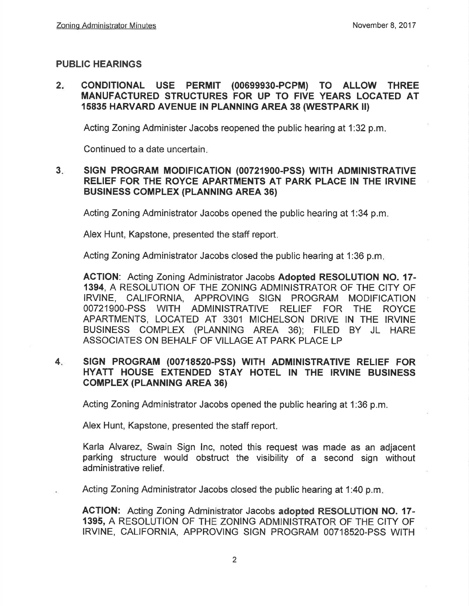#### PUBLIC HEARINGS

#### $2<sub>n</sub>$ CONDITIONAL USE PERMIT (00699930-PCPM) TO ALLOW THREE MANUFACÏURED STRUCTURES FOR UP TO FIVE YEARS LOCATED AT 15835 HARVARD AVENUE IN PLANNING AREA 38 (WESTPARK II)

Acting Zoning Administer Jacobs reopened the public hearing at 1:32 p.m

Continued to a date uncertain

#### 3. SIGN PROGRAM MODIFICATION (00721900-PSS) WITH ADMINISTRATIVE RELIEF FOR THE ROYCE APARTMENTS AT PARK PLACE IN THE IRVINE **BUSINESS COMPLEX (PLANNING AREA 36)**

Acting Zoning Administrator Jaoobs opened the public hearing at 1:34 p.m

Alex Hunt, Kapstone, presented the staff report

Acting Zoning Administrator Jacobs closed the public hearing at 1:36 p.m

ACTION: Acting Zoning Administrator Jacobs Adopted RESOLUTION NO. 17- 1394, A RESOLUTION OF THE ZONING ADMINISTRATOR OF THE CITY OF IRVINE, CALIFORNIA, APPROVING SIGN PROGRAM MODIFICATION OO7219OO-PSS WITH ADMINISTRATIVE RELIEF FOR THE ROYCE APARTMENTS, LOCATED AT 3301 MICHELSON DRIVE IN THE IRVINE BUSINESS COMPLEX (PLANNINc AREA 36); FILED BY JL HARE ASSOCIATES ON BEHALF OF VILLAGE AT PARK PLACE LP

#### 4. SIGN PROGRAM (00718520-PSS) WITH ADMINISTRATIVE RELIEF FOR HYATT HOUSE EXTENDED STAY HOTEL IN THE IRVINE BUSINESS GoMPLEX (PLANN|NG AREA 36)

Acting Zoning Administrator Jacobs opened the public hearing at 1:36 p.m.

Alex Hunt, Kapstone, presented the staff report

Karla Alvarez, Swain Sign lnc, noted this request was made as an adjacent parking structure would obstruct the visibility of a second sign without ad ministrative relief.

Acting Zoning Administrator Jacobs closed the public hearing at 1:40 p.m

AGTION: Acting Zoning Administrator Jacobs adopted RESOLUTION NO. 17- 1395, A RESOLUTION OF THE ZONING ADMINISTRATOR OF THE CITY OF IRVINE, CALIFORNIA, APPROVING SIGN PROGRAM 00718520-PSS WITH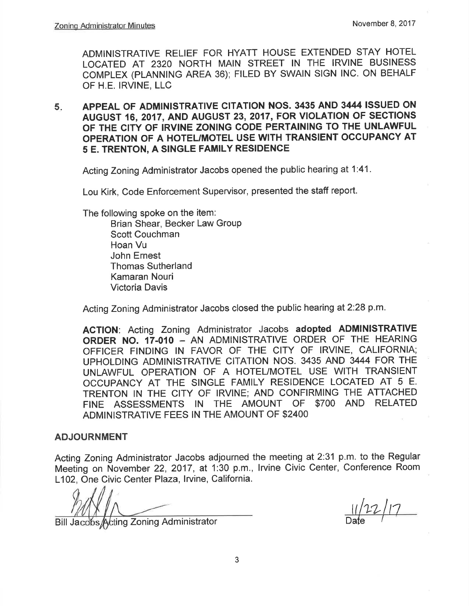ADMINISTRATIVE RELIEF FOR HYATT HOUSE EXTENDED STAY HOTEL LOCATED AT 2320 NORTH MAIN STREET IN THE IRVINE BUSINESS COMPLEX (PLANNING AREA 36); FILED BY SWAIN SIGN lNC. ON BEHALF OF H.E. IRVINE, LLC

5 APPEAL OF ADMINISTRATIVE CITATION NOS. 3435 AND 3444 ISSUED ON AUGUST 16,2017, AND AUGUST 23,2017, FOR VIOLATION OF SECTIONS OF THE CITY OF IRVINE ZONING CODE PERTAINING TO THE UNLAWFUL OPERATION OF A HOTEL/MOTEL USE WITH TRANSIENT OCCUPANCY AT 5 E. TRENTON, A SINGLE FAMILY RESIDENCE

Acting Zoning Administrator Jacobs opened the public hearing at 1:41.

Lou Kirk, Code Enforcement Supervisor, presented the staff report.

The following spoke on the item:

Brian Shear, Becker Law Group Scott Couchman Hoan Vu John Ernest Thomas Sutherland Kamaran Nouri Victoria Davis

Acting Zoning Administrator Jacobs closed the public hearing at 2:28 p.m.

AGTION: Acting Zoning Administrator Jacobs adopted ADMINISTRATIVE ORDER NO. 17.010 - AN ADMINISTRATIVE ORDER OF THE HEARING OFFICER FINDING IN FAVOR OF THE CITY OF IRVINE, CALIFORNIA; UPHOLDING ADMINISTRATIVE CITATION NOS. 3435 AND 3444 FOR THE UNLAWFUL OPERATION OF A HOTEUMOTEL USE WITH TRANSIENT OCCUPANCY AT THE SINGLE FAMILY RESIDENCE LOCATED AT 5 E. TRENTON lN THE CITY OF IRVINE; AND CONFIRMING THE ATTACHED FINE ASSESSMENTS IN THE AMOUNT OF \$7OO AND RELATED ADMINISTRATIVE FEES IN THE AMOUNT OF \$2400

#### ADJOURNMENT

Acting Zoning Administrator Jacobs adjourned the meeting at 2:31 p.m. to the Regular Meeting on November 22,2017, at 1:30 p.m., lrvine Civic Center, Conference Room L102, One Civic Center Plaza, Irvine, California.

Bill Jacobs Acting Zoning Administrator

 $11/22/17$  $\overline{\text{Date}}$